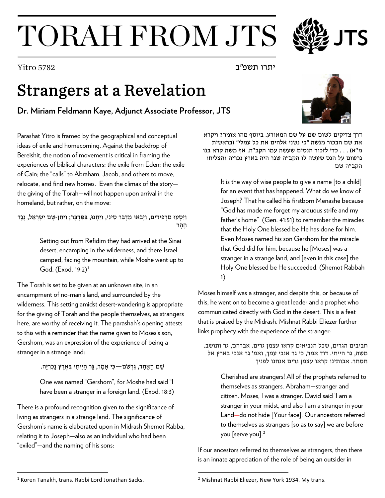## TORAH FROM JTS

## Strangers at a Revelation

## **Dr. Miriam Feldmann Kaye, Adjunct Associate Professor, JTS**

Parashat Yitro is framed by the geographical and conceptual ideas of exile and homecoming. Against the backdrop of Bereishit, the notion of movement is critical in framing the experiences of biblical characters: the exile from Eden; the exile of Cain; the "calls" to Abraham, Jacob, and others to move, relocate, and find new homes. Even the climax of the story the giving of the Torah—will not happen upon arrival in the homeland, but rather, on the move:

וַיִּסְעוּ מֵרְפִידִים, וַיַּבֹאוּ מִדְבַּר סִינַי, וַיַּחֲנוּ, בַּמִּדְבָּר; וַיִּחַן-שַׁם יִשְׂרָאֵל, נֵגֶד הָהָר

> Setting out from Refidim they had arrived at the Sinai desert, encamping in the wilderness, and there Israel camped, facing the mountain, while Moshe went up to God. (Exod. [1](#page-0-0)9:2)<sup>1</sup>

The Torah is set to be given at an unknown site, in an encampment of no-man's land, and surrounded by the wilderness. This setting amidst desert-wandering is appropriate for the giving of Torah and the people themselves, as strangers here, are worthy of receiving it. The parashah's opening attests to this with a reminder that the name given to Moses's son, Gershom, was an expression of the experience of being a stranger in a strange land:

שֵׁם הָאֶחָד, גֵּרְשׁם—כִּי אָמַר, גֵּר הָיִיתִי בְּאֶרֵץ נָכְרִיָּה.

One was named "Gershom", for Moshe had said "I have been a stranger in a foreign land. (Exod. 18:3)

There is a profound recognition given to the significance of living as strangers in a strange land. The significance of Gershom's name is elaborated upon in Midrash Shemot Rabba, relating it to Joseph—also as an individual who had been "exiled"—and the naming of his sons:

דרך צדיקים לשום שם על שם המאורע. ביוסף מהו אומר? ויקרא את שם הבכור מנשה "כי נשני אלהים את כל עמלי" (בראשית מ''א) . . . כדי לזכור הנסים שעשה עמו הקב''ה. אף משה קרא בנו גרשום על הנס שעשה לו הקב''ה שגר היה בארץ נכריה והצליחו הקב''ה שם

> It is the way of wise people to give a name [to a child] for an event that has happened. What do we know of Joseph? That he called his firstborn Menashe because "God has made me forget my arduous strife and my father's home" (Gen. 41:51) to remember the miracles that the Holy One blessed be He has done for him. Even Moses named his son Gershom for the miracle that God did for him, because he [Moses] was a stranger in a strange land, and [even in this case] the Holy One blessed be He succeeded. (Shemot Rabbah 1)

Moses himself was a stranger, and despite this, or because of this, he went on to become a great leader and a prophet who communicated directly with God in the desert. This is a feat that is praised by the Midrash. Mishnat Rabbi Eliezer further links prophecy with the experience of the stranger:

חביבים הגרים, שכל הנביאים קראו עצמן גרים. אברהם, גר ותושב. משה, גר הייתי. דוד אמר, כי גר אנכי עמך, ואמ' גר אנכי בארץ אל תסתר. אבותינו קראו עצמן גרים אנחנו לפניך

Cherished are strangers! All of the prophets referred to themselves as strangers. Abraham—stranger and citizen. Moses, I was a stranger. David said 'I am a stranger in your midst, and also I am a stranger in your Land—do not hide [Your face]. Our ancestors referred to themselves as strangers [so as to say] we are before you [serve you].<sup>[2](#page-0-0)</sup>

If our ancestors referred to themselves as strangers, then there is an innate appreciation of the role of being an outsider in





יתרו תשפ"ב 5782 Yitro

<span id="page-0-0"></span><sup>1</sup> Koren Tanakh, trans. Rabbi Lord Jonathan Sacks.

<sup>2</sup> Mishnat Rabbi Eliezer, New York 1934. My trans.